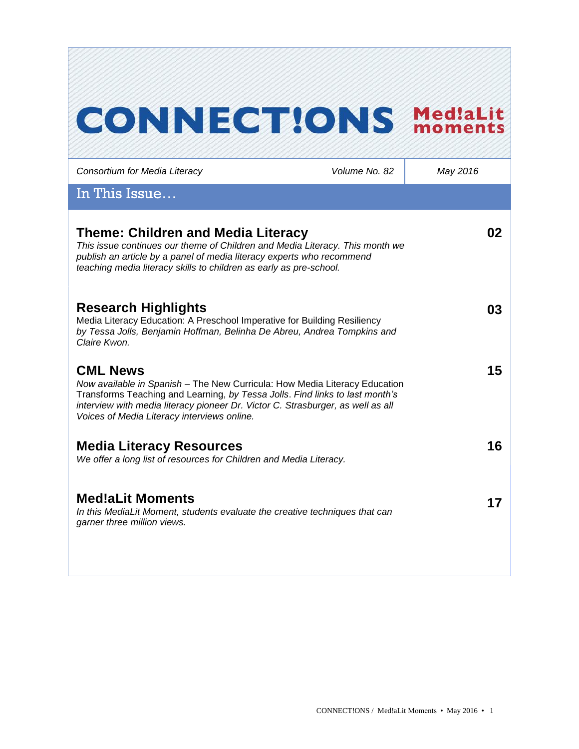# **CONNECT!ONS Med!aLit**

| Consortium for Media Literacy                                                                                                                                                                                                                                                                                   | Volume No. 82 | May 2016 |
|-----------------------------------------------------------------------------------------------------------------------------------------------------------------------------------------------------------------------------------------------------------------------------------------------------------------|---------------|----------|
| In This Issue                                                                                                                                                                                                                                                                                                   |               |          |
| Theme: Children and Media Literacy<br>This issue continues our theme of Children and Media Literacy. This month we<br>publish an article by a panel of media literacy experts who recommend<br>teaching media literacy skills to children as early as pre-school.                                               |               | 02       |
| <b>Research Highlights</b><br>Media Literacy Education: A Preschool Imperative for Building Resiliency<br>by Tessa Jolls, Benjamin Hoffman, Belinha De Abreu, Andrea Tompkins and<br>Claire Kwon.                                                                                                               |               | 03       |
| <b>CML News</b><br>Now available in Spanish - The New Curricula: How Media Literacy Education<br>Transforms Teaching and Learning, by Tessa Jolls. Find links to last month's<br>interview with media literacy pioneer Dr. Victor C. Strasburger, as well as all<br>Voices of Media Literacy interviews online. |               | 15       |
| <b>Media Literacy Resources</b><br>We offer a long list of resources for Children and Media Literacy.                                                                                                                                                                                                           |               | 16       |
| <b>Med!aLit Moments</b><br>In this MediaLit Moment, students evaluate the creative techniques that can<br>garner three million views.                                                                                                                                                                           |               | 17       |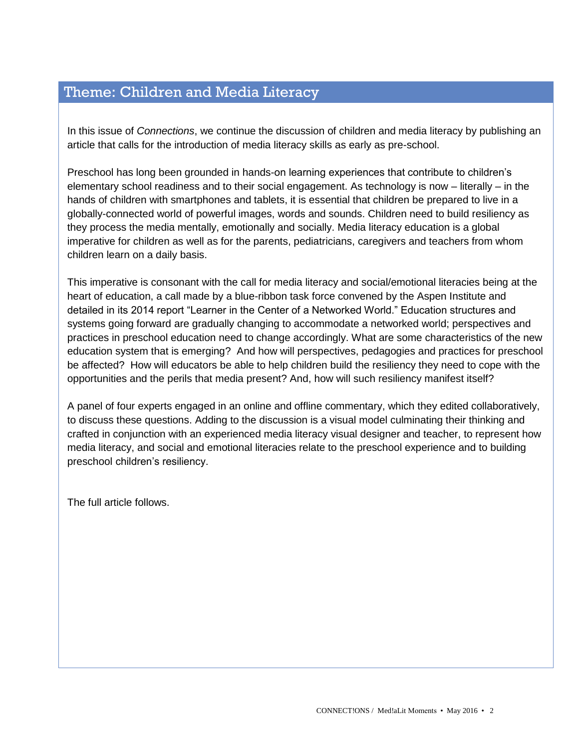# Theme: Children and Media Literacy

In this issue of *Connections*, we continue the discussion of children and media literacy by publishing an article that calls for the introduction of media literacy skills as early as pre-school.

Preschool has long been grounded in hands-on learning experiences that contribute to children's elementary school readiness and to their social engagement. As technology is now – literally – in the hands of children with smartphones and tablets, it is essential that children be prepared to live in a globally-connected world of powerful images, words and sounds. Children need to build resiliency as they process the media mentally, emotionally and socially. Media literacy education is a global imperative for children as well as for the parents, pediatricians, caregivers and teachers from whom children learn on a daily basis.

This imperative is consonant with the call for media literacy and social/emotional literacies being at the heart of education, a call made by a blue-ribbon task force convened by the Aspen Institute and detailed in its 2014 report "Learner in the Center of a Networked World." Education structures and systems going forward are gradually changing to accommodate a networked world; perspectives and practices in preschool education need to change accordingly. What are some characteristics of the new education system that is emerging? And how will perspectives, pedagogies and practices for preschool be affected? How will educators be able to help children build the resiliency they need to cope with the opportunities and the perils that media present? And, how will such resiliency manifest itself?

A panel of four experts engaged in an online and offline commentary, which they edited collaboratively, to discuss these questions. Adding to the discussion is a visual model culminating their thinking and crafted in conjunction with an experienced media literacy visual designer and teacher, to represent how media literacy, and social and emotional literacies relate to the preschool experience and to building preschool children's resiliency.

The full article follows.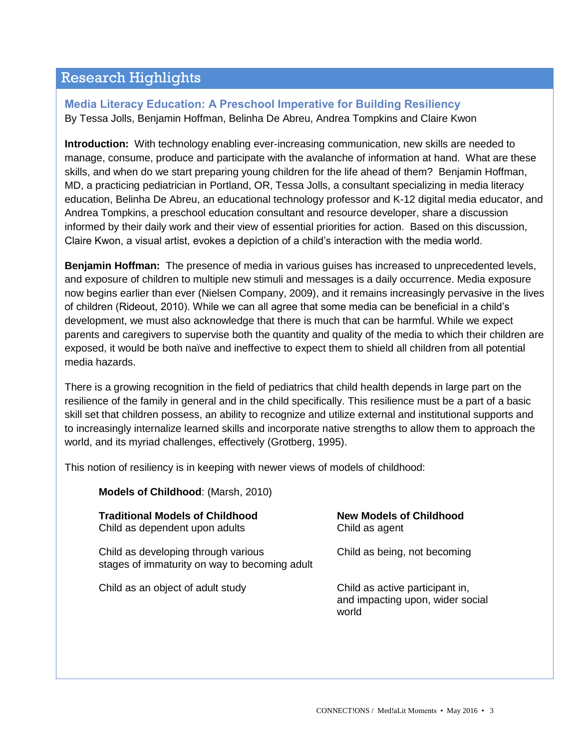# Research Highlights

## **Media Literacy Education: A Preschool Imperative for Building Resiliency** By Tessa Jolls, Benjamin Hoffman, Belinha De Abreu, Andrea Tompkins and Claire Kwon

**Introduction:** With technology enabling ever-increasing communication, new skills are needed to manage, consume, produce and participate with the avalanche of information at hand. What are these skills, and when do we start preparing young children for the life ahead of them? Benjamin Hoffman, MD, a practicing pediatrician in Portland, OR, Tessa Jolls, a consultant specializing in media literacy education, Belinha De Abreu, an educational technology professor and K-12 digital media educator, and Andrea Tompkins, a preschool education consultant and resource developer, share a discussion informed by their daily work and their view of essential priorities for action. Based on this discussion, Claire Kwon, a visual artist, evokes a depiction of a child's interaction with the media world.

**Benjamin Hoffman:** The presence of media in various guises has increased to unprecedented levels, and exposure of children to multiple new stimuli and messages is a daily occurrence. Media exposure now begins earlier than ever (Nielsen Company, 2009), and it remains increasingly pervasive in the lives of children (Rideout, 2010). While we can all agree that some media can be beneficial in a child's development, we must also acknowledge that there is much that can be harmful. While we expect parents and caregivers to supervise both the quantity and quality of the media to which their children are exposed, it would be both naïve and ineffective to expect them to shield all children from all potential media hazards.

There is a growing recognition in the field of pediatrics that child health depends in large part on the resilience of the family in general and in the child specifically. This resilience must be a part of a basic skill set that children possess, an ability to recognize and utilize external and institutional supports and to increasingly internalize learned skills and incorporate native strengths to allow them to approach the world, and its myriad challenges, effectively (Grotberg, 1995).

This notion of resiliency is in keeping with newer views of models of childhood:

#### **Models of Childhood**: (Marsh, 2010)

| <b>Traditional Models of Childhood</b><br>Child as dependent upon adults             | <b>New Models of Childhood</b><br>Child as agent                             |
|--------------------------------------------------------------------------------------|------------------------------------------------------------------------------|
| Child as developing through various<br>stages of immaturity on way to becoming adult | Child as being, not becoming                                                 |
| Child as an object of adult study                                                    | Child as active participant in,<br>and impacting upon, wider social<br>world |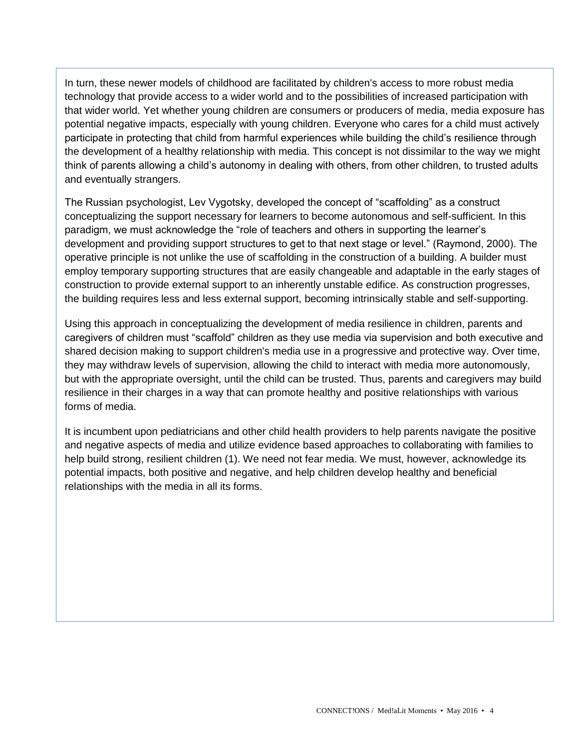In turn, these newer models of childhood are facilitated by children's access to more robust media technology that provide access to a wider world and to the possibilities of increased participation with that wider world. Yet whether young children are consumers or producers of media, media exposure has potential negative impacts, especially with young children. Everyone who cares for a child must actively participate in protecting that child from harmful experiences while building the child's resilience through the development of a healthy relationship with media. This concept is not dissimilar to the way we might think of parents allowing a child's autonomy in dealing with others, from other children, to trusted adults and eventually strangers.

The Russian psychologist, Lev Vygotsky, developed the concept of "scaffolding" as a construct conceptualizing the support necessary for learners to become autonomous and self-sufficient. In this paradigm, we must acknowledge the "role of teachers and others in supporting the learner's development and providing support structures to get to that next stage or level." (Raymond, 2000). The operative principle is not unlike the use of scaffolding in the construction of a building. A builder must employ temporary supporting structures that are easily changeable and adaptable in the early stages of construction to provide external support to an inherently unstable edifice. As construction progresses, the building requires less and less external support, becoming intrinsically stable and self-supporting.

Using this approach in conceptualizing the development of media resilience in children, parents and caregivers of children must "scaffold" children as they use media via supervision and both executive and shared decision making to support children's media use in a progressive and protective way. Over time, they may withdraw levels of supervision, allowing the child to interact with media more autonomously, but with the appropriate oversight, until the child can be trusted. Thus, parents and caregivers may build resilience in their charges in a way that can promote healthy and positive relationships with various forms of media.

It is incumbent upon pediatricians and other child health providers to help parents navigate the positive and negative aspects of media and utilize evidence based approaches to collaborating with families to help build strong, resilient children (1). We need not fear media. We must, however, acknowledge its potential impacts, both positive and negative, and help children develop healthy and beneficial relationships with the media in all its forms.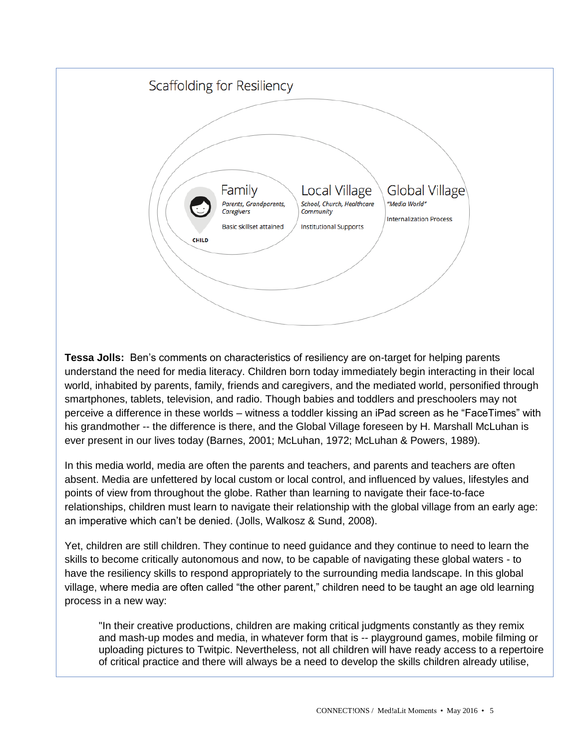

**Tessa Jolls:** Ben's comments on characteristics of resiliency are on-target for helping parents understand the need for media literacy. Children born today immediately begin interacting in their local world, inhabited by parents, family, friends and caregivers, and the mediated world, personified through smartphones, tablets, television, and radio. Though babies and toddlers and preschoolers may not perceive a difference in these worlds – witness a toddler kissing an iPad screen as he "FaceTimes" with his grandmother -- the difference is there, and the Global Village foreseen by H. Marshall McLuhan is ever present in our lives today (Barnes, 2001; McLuhan, 1972; McLuhan & Powers, 1989).

In this media world, media are often the parents and teachers, and parents and teachers are often absent. Media are unfettered by local custom or local control, and influenced by values, lifestyles and points of view from throughout the globe. Rather than learning to navigate their face-to-face relationships, children must learn to navigate their relationship with the global village from an early age: an imperative which can't be denied. (Jolls, Walkosz & Sund, 2008).

Yet, children are still children. They continue to need guidance and they continue to need to learn the skills to become critically autonomous and now, to be capable of navigating these global waters - to have the resiliency skills to respond appropriately to the surrounding media landscape. In this global village, where media are often called "the other parent," children need to be taught an age old learning process in a new way:

"In their creative productions, children are making critical judgments constantly as they remix and mash-up modes and media, in whatever form that is -- playground games, mobile filming or uploading pictures to Twitpic. Nevertheless, not all children will have ready access to a repertoire of critical practice and there will always be a need to develop the skills children already utilise,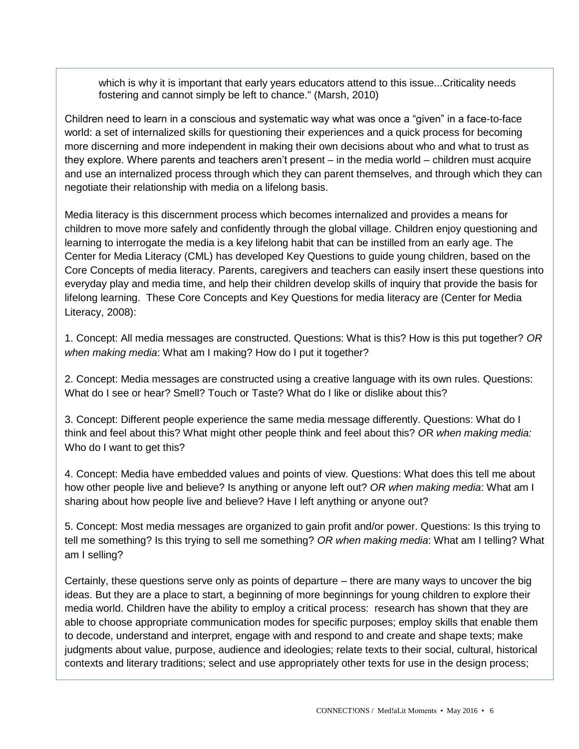which is why it is important that early years educators attend to this issue...Criticality needs fostering and cannot simply be left to chance." (Marsh, 2010)

Children need to learn in a conscious and systematic way what was once a "given" in a face-to-face world: a set of internalized skills for questioning their experiences and a quick process for becoming more discerning and more independent in making their own decisions about who and what to trust as they explore. Where parents and teachers aren't present – in the media world – children must acquire and use an internalized process through which they can parent themselves, and through which they can negotiate their relationship with media on a lifelong basis.

Media literacy is this discernment process which becomes internalized and provides a means for children to move more safely and confidently through the global village. Children enjoy questioning and learning to interrogate the media is a key lifelong habit that can be instilled from an early age. The Center for Media Literacy (CML) has developed Key Questions to guide young children, based on the Core Concepts of media literacy. Parents, caregivers and teachers can easily insert these questions into everyday play and media time, and help their children develop skills of inquiry that provide the basis for lifelong learning. These Core Concepts and Key Questions for media literacy are (Center for Media Literacy, 2008):

1. Concept: All media messages are constructed. Questions: What is this? How is this put together? *OR when making media*: What am I making? How do I put it together?

2. Concept: Media messages are constructed using a creative language with its own rules. Questions: What do I see or hear? Smell? Touch or Taste? What do I like or dislike about this?

3. Concept: Different people experience the same media message differently. Questions: What do I think and feel about this? What might other people think and feel about this? *O*R *when making media:*  Who do I want to get this?

4. Concept: Media have embedded values and points of view. Questions: What does this tell me about how other people live and believe? Is anything or anyone left out? *OR when making media*: What am I sharing about how people live and believe? Have I left anything or anyone out?

5. Concept: Most media messages are organized to gain profit and/or power. Questions: Is this trying to tell me something? Is this trying to sell me something? *OR when making media*: What am I telling? What am I selling?

Certainly, these questions serve only as points of departure – there are many ways to uncover the big ideas. But they are a place to start, a beginning of more beginnings for young children to explore their media world. Children have the ability to employ a critical process: research has shown that they are able to choose appropriate communication modes for specific purposes; employ skills that enable them to decode, understand and interpret, engage with and respond to and create and shape texts; make judgments about value, purpose, audience and ideologies; relate texts to their social, cultural, historical contexts and literary traditions; select and use appropriately other texts for use in the design process;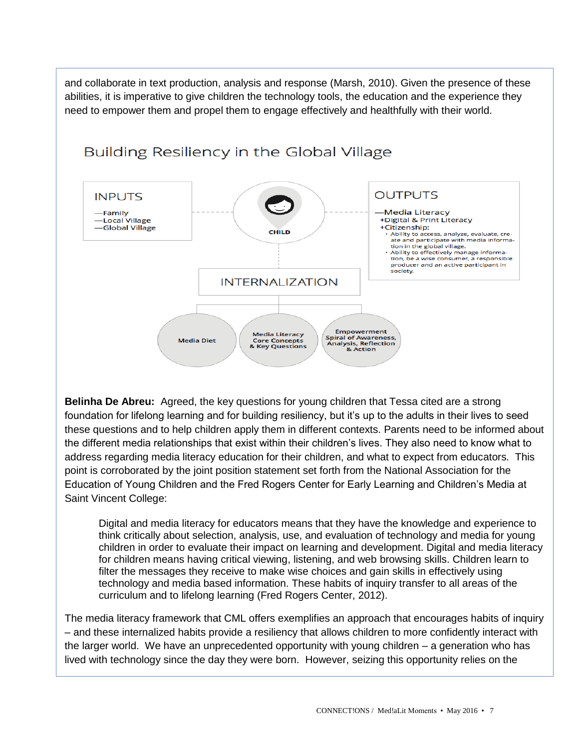and collaborate in text production, analysis and response (Marsh, 2010). Given the presence of these abilities, it is imperative to give children the technology tools, the education and the experience they need to empower them and propel them to engage effectively and healthfully with their world.



**Belinha De Abreu:** Agreed, the key questions for young children that Tessa cited are a strong foundation for lifelong learning and for building resiliency, but it's up to the adults in their lives to seed these questions and to help children apply them in different contexts. Parents need to be informed about the different media relationships that exist within their children's lives. They also need to know what to address regarding media literacy education for their children, and what to expect from educators. This point is corroborated by the joint position statement set forth from the National Association for the Education of Young Children and the Fred Rogers Center for Early Learning and Children's Media at Saint Vincent College:

Digital and media literacy for educators means that they have the knowledge and experience to think critically about selection, analysis, use, and evaluation of technology and media for young children in order to evaluate their impact on learning and development. Digital and media literacy for children means having critical viewing, listening, and web browsing skills. Children learn to filter the messages they receive to make wise choices and gain skills in effectively using technology and media based information. These habits of inquiry transfer to all areas of the curriculum and to lifelong learning (Fred Rogers Center, 2012).

The media literacy framework that CML offers exemplifies an approach that encourages habits of inquiry – and these internalized habits provide a resiliency that allows children to more confidently interact with the larger world. We have an unprecedented opportunity with young children – a generation who has lived with technology since the day they were born. However, seizing this opportunity relies on the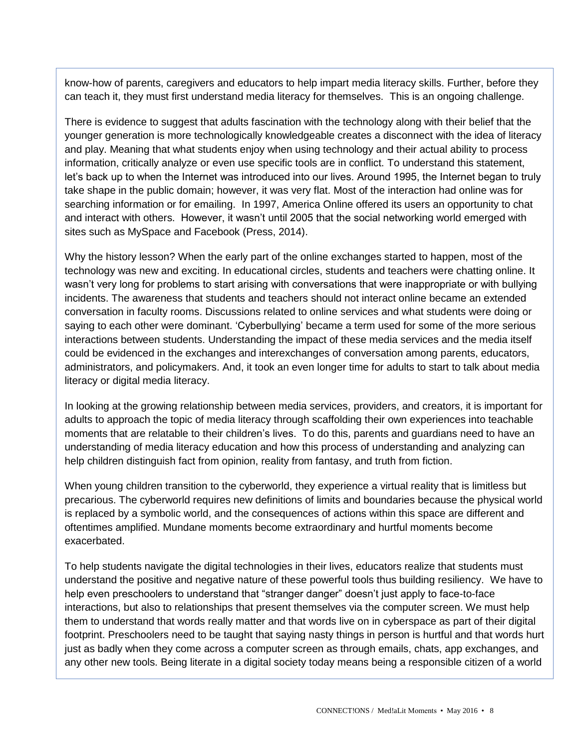know-how of parents, caregivers and educators to help impart media literacy skills. Further, before they can teach it, they must first understand media literacy for themselves. This is an ongoing challenge.

There is evidence to suggest that adults fascination with the technology along with their belief that the younger generation is more technologically knowledgeable creates a disconnect with the idea of literacy and play. Meaning that what students enjoy when using technology and their actual ability to process information, critically analyze or even use specific tools are in conflict. To understand this statement, let's back up to when the Internet was introduced into our lives. Around 1995, the Internet began to truly take shape in the public domain; however, it was very flat. Most of the interaction had online was for searching information or for emailing. In 1997, America Online offered its users an opportunity to chat and interact with others. However, it wasn't until 2005 that the social networking world emerged with sites such as MySpace and Facebook (Press, 2014).

Why the history lesson? When the early part of the online exchanges started to happen, most of the technology was new and exciting. In educational circles, students and teachers were chatting online. It wasn't very long for problems to start arising with conversations that were inappropriate or with bullying incidents. The awareness that students and teachers should not interact online became an extended conversation in faculty rooms. Discussions related to online services and what students were doing or saying to each other were dominant. 'Cyberbullying' became a term used for some of the more serious interactions between students. Understanding the impact of these media services and the media itself could be evidenced in the exchanges and interexchanges of conversation among parents, educators, administrators, and policymakers. And, it took an even longer time for adults to start to talk about media literacy or digital media literacy.

In looking at the growing relationship between media services, providers, and creators, it is important for adults to approach the topic of media literacy through scaffolding their own experiences into teachable moments that are relatable to their children's lives. To do this, parents and guardians need to have an understanding of media literacy education and how this process of understanding and analyzing can help children distinguish fact from opinion, reality from fantasy, and truth from fiction.

When young children transition to the cyberworld, they experience a virtual reality that is limitless but precarious. The cyberworld requires new definitions of limits and boundaries because the physical world is replaced by a symbolic world, and the consequences of actions within this space are different and oftentimes amplified. Mundane moments become extraordinary and hurtful moments become exacerbated.

To help students navigate the digital technologies in their lives, educators realize that students must understand the positive and negative nature of these powerful tools thus building resiliency. We have to help even preschoolers to understand that "stranger danger" doesn't just apply to face-to-face interactions, but also to relationships that present themselves via the computer screen. We must help them to understand that words really matter and that words live on in cyberspace as part of their digital footprint. Preschoolers need to be taught that saying nasty things in person is hurtful and that words hurt just as badly when they come across a computer screen as through emails, chats, app exchanges, and any other new tools. Being literate in a digital society today means being a responsible citizen of a world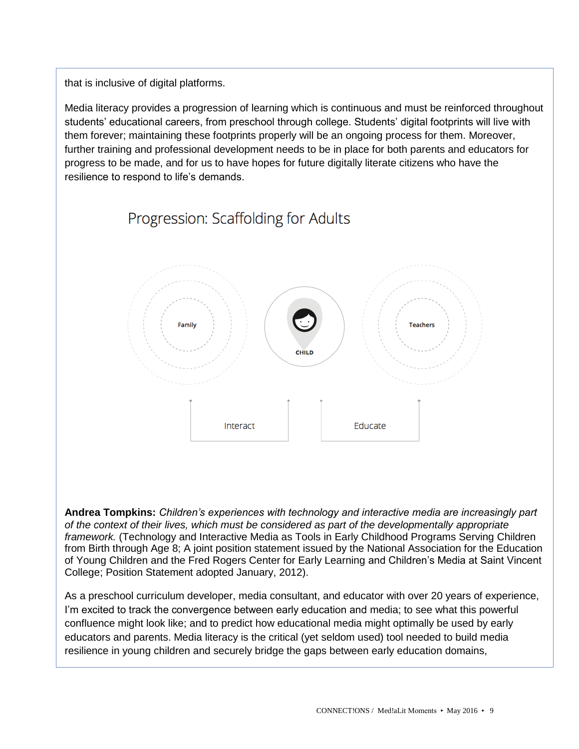that is inclusive of digital platforms.

Media literacy provides a progression of learning which is continuous and must be reinforced throughout students' educational careers, from preschool through college. Students' digital footprints will live with them forever; maintaining these footprints properly will be an ongoing process for them. Moreover, further training and professional development needs to be in place for both parents and educators for progress to be made, and for us to have hopes for future digitally literate citizens who have the resilience to respond to life's demands.



**Andrea Tompkins:** *Children's experiences with technology and interactive media are increasingly part of the context of their lives, which must be considered as part of the developmentally appropriate framework.* (Technology and Interactive Media as Tools in Early Childhood Programs Serving Children from Birth through Age 8; A joint position statement issued by the National Association for the Education of Young Children and the Fred Rogers Center for Early Learning and Children's Media at Saint Vincent College; Position Statement adopted January, 2012).

As a preschool curriculum developer, media consultant, and educator with over 20 years of experience, I'm excited to track the convergence between early education and media; to see what this powerful confluence might look like; and to predict how educational media might optimally be used by early educators and parents. Media literacy is the critical (yet seldom used) tool needed to build media resilience in young children and securely bridge the gaps between early education domains,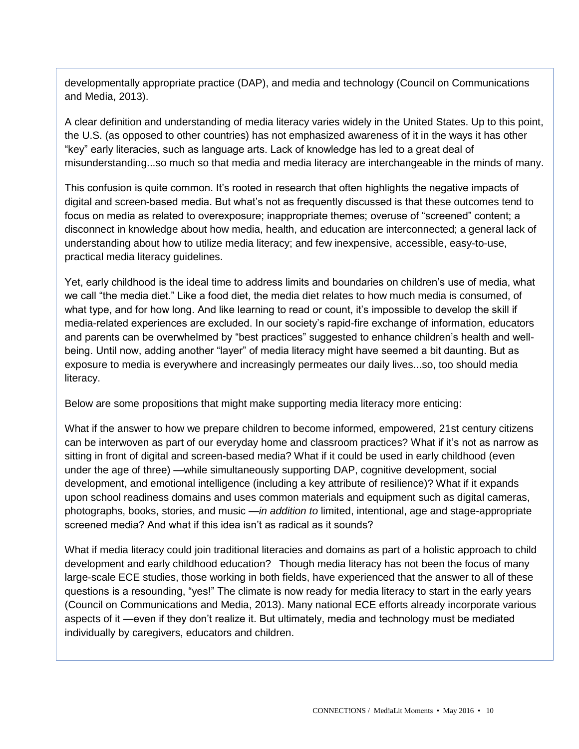developmentally appropriate practice (DAP), and media and technology (Council on Communications and Media, 2013).

A clear definition and understanding of media literacy varies widely in the United States. Up to this point, the U.S. (as opposed to other countries) has not emphasized awareness of it in the ways it has other "key" early literacies, such as language arts. Lack of knowledge has led to a great deal of misunderstanding...so much so that media and media literacy are interchangeable in the minds of many.

This confusion is quite common. It's rooted in research that often highlights the negative impacts of digital and screen-based media. But what's not as frequently discussed is that these outcomes tend to focus on media as related to overexposure; inappropriate themes; overuse of "screened" content; a disconnect in knowledge about how media, health, and education are interconnected; a general lack of understanding about how to utilize media literacy; and few inexpensive, accessible, easy-to-use, practical media literacy guidelines.

Yet, early childhood is the ideal time to address limits and boundaries on children's use of media, what we call "the media diet." Like a food diet, the media diet relates to how much media is consumed, of what type, and for how long. And like learning to read or count, it's impossible to develop the skill if media-related experiences are excluded. In our society's rapid-fire exchange of information, educators and parents can be overwhelmed by "best practices" suggested to enhance children's health and wellbeing. Until now, adding another "layer" of media literacy might have seemed a bit daunting. But as exposure to media is everywhere and increasingly permeates our daily lives...so, too should media literacy.

Below are some propositions that might make supporting media literacy more enticing:

What if the answer to how we prepare children to become informed, empowered, 21st century citizens can be interwoven as part of our everyday home and classroom practices? What if it's not as narrow as sitting in front of digital and screen-based media? What if it could be used in early childhood (even under the age of three) *—*while simultaneously supporting DAP, cognitive development, social development, and emotional intelligence (including a key attribute of resilience)? What if it expands upon school readiness domains and uses common materials and equipment such as digital cameras, photographs, books, stories, and music *—in addition to* limited, intentional, age and stage-appropriate screened media? And what if this idea isn't as radical as it sounds?

What if media literacy could join traditional literacies and domains as part of a holistic approach to child development and early childhood education? Though media literacy has not been the focus of many large-scale ECE studies, those working in both fields, have experienced that the answer to all of these questions is a resounding, "yes!" The climate is now ready for media literacy to start in the early years (Council on Communications and Media, 2013). Many national ECE efforts already incorporate various aspects of it *—*even if they don't realize it. But ultimately, media and technology must be mediated individually by caregivers, educators and children.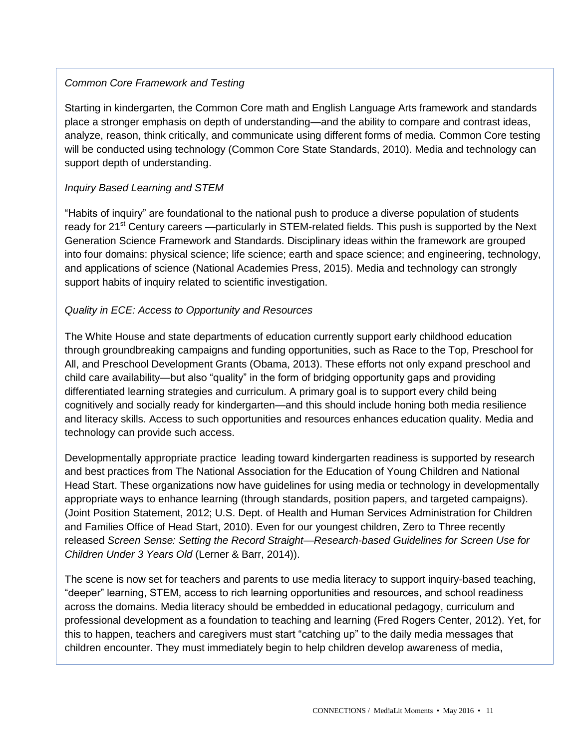## *Common Core Framework and Testing*

Starting in kindergarten, the Common Core math and English Language Arts framework and standards place a stronger emphasis on depth of understanding*—*and the ability to compare and contrast ideas, analyze, reason, think critically, and communicate using different forms of media. Common Core testing will be conducted using technology (Common Core State Standards, 2010). Media and technology can support depth of understanding.

## *Inquiry Based Learning and STEM*

"Habits of inquiry" are foundational to the national push to produce a diverse population of students ready for 21st Century careers *—*particularly in STEM-related fields. This push is supported by the Next Generation Science Framework and Standards. Disciplinary ideas within the framework are grouped into four domains: physical science; life science; earth and space science; and engineering, technology, and applications of science (National Academies Press, 2015). Media and technology can strongly support habits of inquiry related to scientific investigation.

## *Quality in ECE: Access to Opportunity and Resources*

The White House and state departments of education currently support early childhood education through groundbreaking campaigns and funding opportunities, such as Race to the Top, Preschool for All, and Preschool Development Grants (Obama, 2013). These efforts not only expand preschool and child care availability*—*but also "quality" in the form of bridging opportunity gaps and providing differentiated learning strategies and curriculum. A primary goal is to support every child being cognitively and socially ready for kindergarten*—*and this should include honing both media resilience and literacy skills. Access to such opportunities and resources enhances education quality. Media and technology can provide such access.

Developmentally appropriate practice leading toward kindergarten readiness is supported by research and best practices from The National Association for the Education of Young Children and National Head Start. These organizations now have guidelines for using media or technology in developmentally appropriate ways to enhance learning (through standards, position papers, and targeted campaigns). (Joint Position Statement, 2012; U.S. Dept. of Health and Human Services Administration for Children and Families Office of Head Start, 2010). Even for our youngest children, Zero to Three recently released *Screen Sense: Setting the Record Straight—Research-based Guidelines for Screen Use for Children Under 3 Years Old* (Lerner & Barr, 2014)).

The scene is now set for teachers and parents to use media literacy to support inquiry-based teaching, "deeper" learning, STEM, access to rich learning opportunities and resources, and school readiness across the domains. Media literacy should be embedded in educational pedagogy, curriculum and professional development as a foundation to teaching and learning (Fred Rogers Center, 2012). Yet, for this to happen, teachers and caregivers must start "catching up" to the daily media messages that children encounter. They must immediately begin to help children develop awareness of media,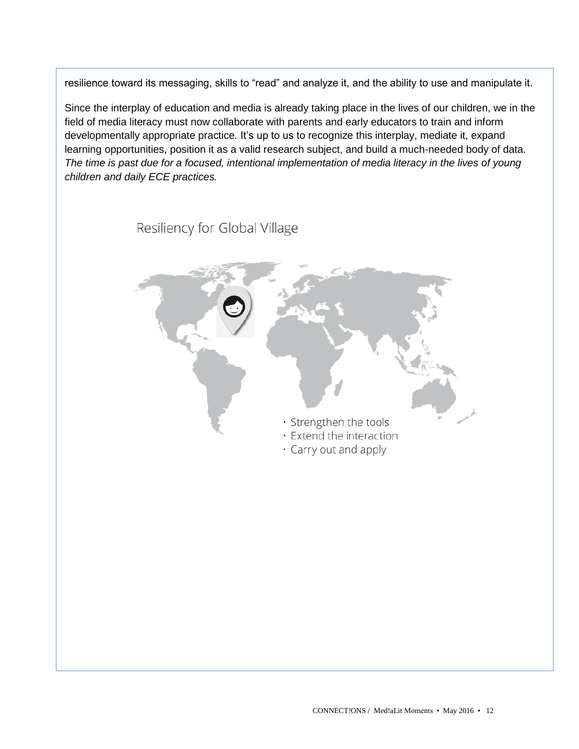resilience toward its messaging, skills to "read" and analyze it, and the ability to use and manipulate it.

Since the interplay of education and media is already taking place in the lives of our children, we in the field of media literacy must now collaborate with parents and early educators to train and inform developmentally appropriate practice*.* It's up to us to recognize this interplay, mediate it, expand learning opportunities, position it as a valid research subject, and build a much-needed body of data. *The time is past due for a focused, intentional implementation of media literacy in the lives of young children and daily ECE practices.*

Resiliency for Global Village

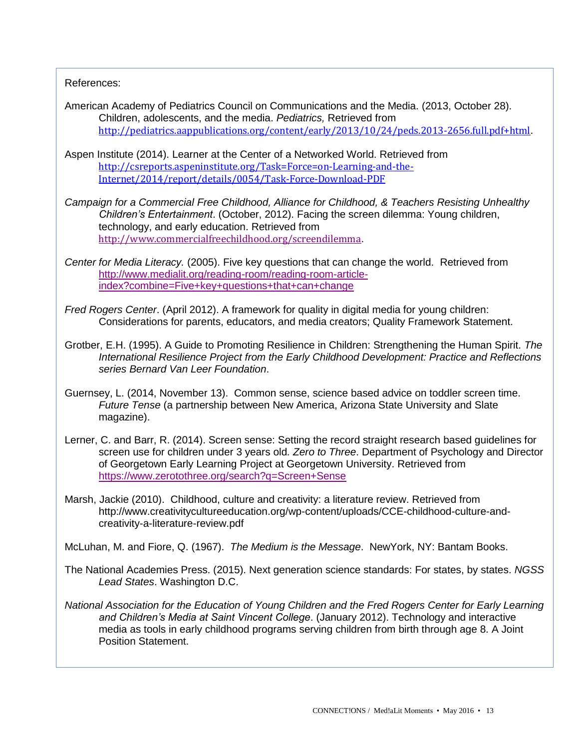References:

- American Academy of Pediatrics Council on Communications and the Media. (2013, October 28). Children, adolescents, and the media. *Pediatrics,* Retrieved from <http://pediatrics.aappublications.org/content/early/2013/10/24/peds.2013-2656.full.pdf+html>.
- Aspen Institute (2014). Learner at the Center of a Networked World. Retrieved from [http://csreports.aspeninstitute.org/Task=Force=on-Learning-and-the-](http://csreports.aspeninstitute.org/Task=Force=on-Learning-and-the-Internet/2014/report/details/0054/Task-Force-Download-PDF)[Internet/2014/report/details/0054/Task-Force-Download-PDF](http://csreports.aspeninstitute.org/Task=Force=on-Learning-and-the-Internet/2014/report/details/0054/Task-Force-Download-PDF)
- *Campaign for a Commercial Free Childhood, Alliance for Childhood, & Teachers Resisting Unhealthy Children's Entertainment*. (October, 2012). Facing the screen dilemma: Young children, technology, and early education. Retrieved from <http://www.commercialfreechildhood.org/screendilemma>.
- *Center for Media Literacy.* (2005). Five key questions that can change the world. Retrieved from [http://www.medialit.org/reading-room/reading-room-article](http://www.medialit.org/reading-room/reading-room-article-index?combine=Five+key+questions+that+can+change)[index?combine=Five+key+questions+that+can+change](http://www.medialit.org/reading-room/reading-room-article-index?combine=Five+key+questions+that+can+change)
- *Fred Rogers Center*. (April 2012). A framework for quality in digital media for young children: Considerations for parents, educators, and media creators; Quality Framework Statement.
- Grotber, E.H. (1995). A Guide to Promoting Resilience in Children: Strengthening the Human Spirit. *The International Resilience Project from the Early Childhood Development: Practice and Reflections series Bernard Van Leer Foundation*.
- Guernsey, L. (2014, November 13). Common sense, science based advice on toddler screen time. *Future Tense* (a partnership between New America, Arizona State University and Slate magazine).
- Lerner, C. and Barr, R. (2014). Screen sense: Setting the record straight research based guidelines for screen use for children under 3 years old*. Zero to Three*. Department of Psychology and Director of Georgetown Early Learning Project at Georgetown University. Retrieved from <https://www.zerotothree.org/search?q=Screen+Sense>
- Marsh, Jackie (2010). Childhood, culture and creativity: a literature review. Retrieved from http://www.creativitycultureeducation.org/wp-content/uploads/CCE-childhood-culture-andcreativity-a-literature-review.pdf

McLuhan, M. and Fiore, Q. (1967). *The Medium is the Message*. NewYork, NY: Bantam Books.

- The National Academies Press. (2015). Next generation science standards: For states, by states. *NGSS Lead States*. Washington D.C.
- *National Association for the Education of Young Children and the Fred Rogers Center for Early Learning and Children's Media at Saint Vincent College*. (January 2012). Technology and interactive media as tools in early childhood programs serving children from birth through age 8. A Joint Position Statement.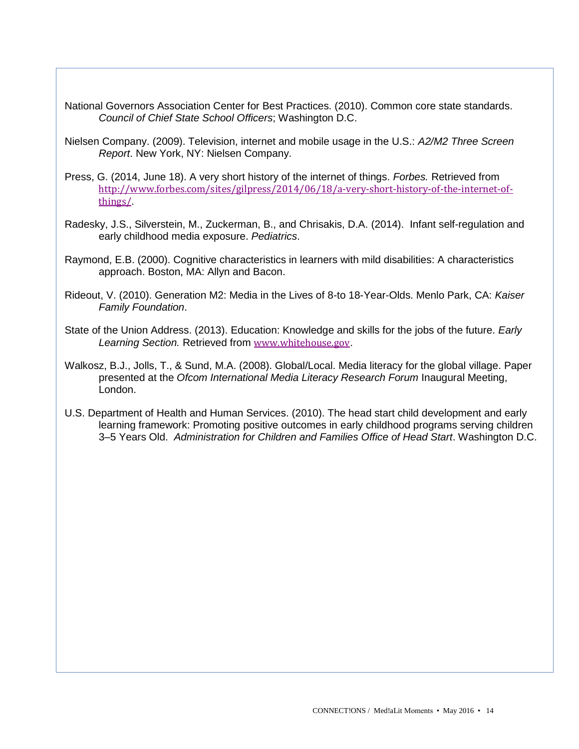National Governors Association Center for Best Practices. (2010). Common core state standards. *Council of Chief State School Officers*; Washington D.C.

Nielsen Company. (2009). Television, internet and mobile usage in the U.S.: *A2/M2 Three Screen Report*. New York, NY: Nielsen Company.

- Press, G. (2014, June 18). A very short history of the internet of things. *Forbes.* Retrieved from [http://www.forbes.com/sites/gilpress/2014/06/18/a-very-short-history-of-the-internet-of](http://www.forbes.com/sites/gilpress/2014/06/18/a-very-short-history-of-the-internet-of-things/)[things/](http://www.forbes.com/sites/gilpress/2014/06/18/a-very-short-history-of-the-internet-of-things/).
- Radesky, J.S., Silverstein, M., Zuckerman, B., and Chrisakis, D.A. (2014). Infant self-regulation and early childhood media exposure. *Pediatrics*.
- Raymond, E.B. (2000). Cognitive characteristics in learners with mild disabilities: A characteristics approach. Boston, MA: Allyn and Bacon.
- Rideout, V. (2010). Generation M2: Media in the Lives of 8-to 18-Year-Olds. Menlo Park, CA: *Kaiser Family Foundation*.
- State of the Union Address. (2013). Education: Knowledge and skills for the jobs of the future. *Early Learning Section.* Retrieved from [www.whitehouse.gov](http://www.whitehouse.gov/).
- Walkosz, B.J., Jolls, T., & Sund, M.A. (2008). Global/Local. Media literacy for the global village. Paper presented at the *Ofcom International Media Literacy Research Forum* Inaugural Meeting, London.
- U.S. Department of Health and Human Services. (2010). The head start child development and early learning framework: Promoting positive outcomes in early childhood programs serving children 3–5 Years Old. *Administration for Children and Families Office of Head Start*. Washington D.C.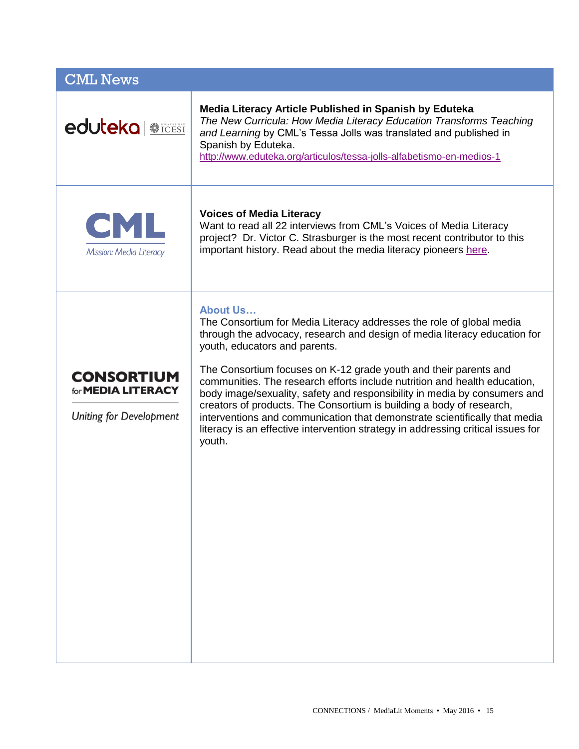| <b>CML News</b>                                                                  |                                                                                                                                                                                                                                                                                                                                                                                                                                                                                                                                                                                                                                                                                         |
|----------------------------------------------------------------------------------|-----------------------------------------------------------------------------------------------------------------------------------------------------------------------------------------------------------------------------------------------------------------------------------------------------------------------------------------------------------------------------------------------------------------------------------------------------------------------------------------------------------------------------------------------------------------------------------------------------------------------------------------------------------------------------------------|
| <b>eduteka <b><i>Ricessi</i></b></b>                                             | Media Literacy Article Published in Spanish by Eduteka<br>The New Curricula: How Media Literacy Education Transforms Teaching<br>and Learning by CML's Tessa Jolls was translated and published in<br>Spanish by Eduteka.<br>http://www.eduteka.org/articulos/tessa-jolls-alfabetismo-en-medios-1                                                                                                                                                                                                                                                                                                                                                                                       |
| CML<br>Mission: Media Literacy                                                   | <b>Voices of Media Literacy</b><br>Want to read all 22 interviews from CML's Voices of Media Literacy<br>project? Dr. Victor C. Strasburger is the most recent contributor to this<br>important history. Read about the media literacy pioneers here.                                                                                                                                                                                                                                                                                                                                                                                                                                   |
| <b>CONSORTIUM</b><br>for <b>MEDIA LITERACY</b><br><b>Uniting for Development</b> | <b>About Us</b><br>The Consortium for Media Literacy addresses the role of global media<br>through the advocacy, research and design of media literacy education for<br>youth, educators and parents.<br>The Consortium focuses on K-12 grade youth and their parents and<br>communities. The research efforts include nutrition and health education,<br>body image/sexuality, safety and responsibility in media by consumers and<br>creators of products. The Consortium is building a body of research,<br>interventions and communication that demonstrate scientifically that media<br>literacy is an effective intervention strategy in addressing critical issues for<br>youth. |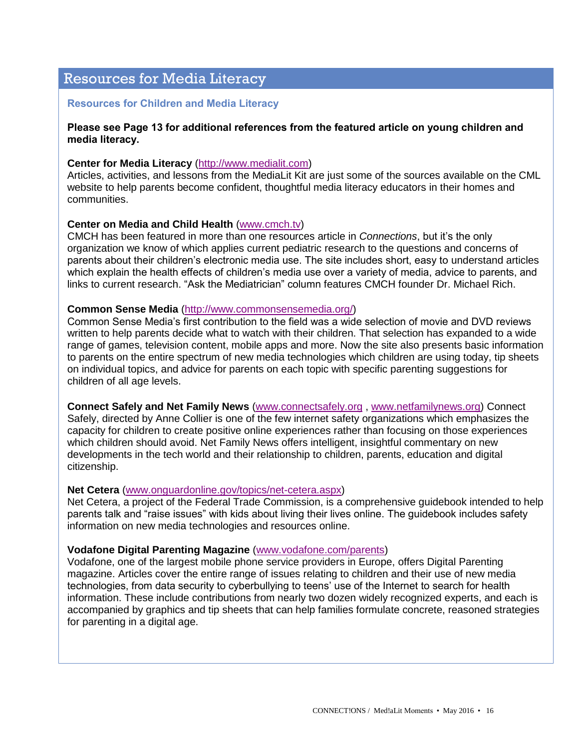# Resources for Media Literacy

#### **Resources for Children and Media Literacy**

#### **Please see Page 13 for additional references from the featured article on young children and media literacy.**

#### **Center for Media Literacy** [\(http://www.medialit.com\)](http://www.medialit.com/)

Articles, activities, and lessons from the MediaLit Kit are just some of the sources available on the CML website to help parents become confident, thoughtful media literacy educators in their homes and communities.

#### **Center on Media and Child Health** [\(www.cmch.tv\)](http://www.cmch.tv/)

CMCH has been featured in more than one resources article in *Connections*, but it's the only organization we know of which applies current pediatric research to the questions and concerns of parents about their children's electronic media use. The site includes short, easy to understand articles which explain the health effects of children's media use over a variety of media, advice to parents, and links to current research. "Ask the Mediatrician" column features CMCH founder Dr. Michael Rich.

#### **Common Sense Media** [\(http://www.commonsensemedia.org/\)](http://www.commonsensemedia.org/)

Common Sense Media's first contribution to the field was a wide selection of movie and DVD reviews written to help parents decide what to watch with their children. That selection has expanded to a wide range of games, television content, mobile apps and more. Now the site also presents basic information to parents on the entire spectrum of new media technologies which children are using today, tip sheets on individual topics, and advice for parents on each topic with specific parenting suggestions for children of all age levels.

**Connect Safely and Net Family News** [\(www.connectsafely.org](http://www.connectsafely.org/) , [www.netfamilynews.org\)](http://www.netfamilynews.org/) Connect Safely, directed by Anne Collier is one of the few internet safety organizations which emphasizes the

capacity for children to create positive online experiences rather than focusing on those experiences which children should avoid. Net Family News offers intelligent, insightful commentary on new developments in the tech world and their relationship to children, parents, education and digital citizenship.

#### **Net Cetera** [\(www.onguardonline.gov/topics/net-cetera.aspx\)](http://www.onguardonline.gov/topics/net-cetera.aspx)

Net Cetera, a project of the Federal Trade Commission, is a comprehensive guidebook intended to help parents talk and "raise issues" with kids about living their lives online. The guidebook includes safety information on new media technologies and resources online.

#### **Vodafone Digital Parenting Magazine** [\(www.vodafone.com/parents\)](http://www.vodafone.com/parents)

Vodafone, one of the largest mobile phone service providers in Europe, offers Digital Parenting magazine. Articles cover the entire range of issues relating to children and their use of new media technologies, from data security to cyberbullying to teens' use of the Internet to search for health information. These include contributions from nearly two dozen widely recognized experts, and each is accompanied by graphics and tip sheets that can help families formulate concrete, reasoned strategies for parenting in a digital age.